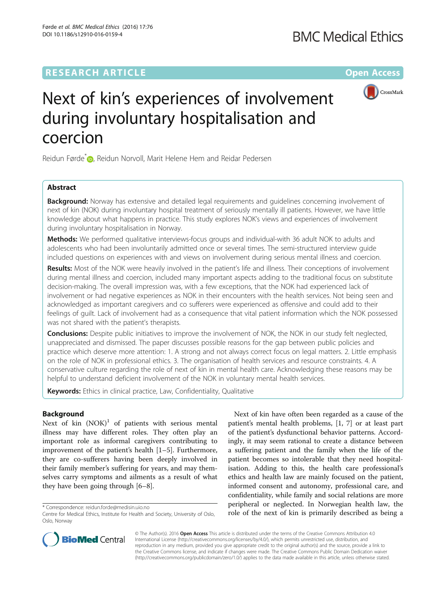# **RESEARCH ARTICLE External Structure Community Community Community Community Community Community Community Community**



# Next of kin's experiences of involvement during involuntary hospitalisation and coercion

Reidun Førde<sup>\*</sup> <sub>(D</sub>[,](http://orcid.org/0000-0001-5993-1828) Reidun Norvoll, Marit Helene Hem and Reidar Pedersen

# Abstract

**Background:** Norway has extensive and detailed legal requirements and quidelines concerning involvement of next of kin (NOK) during involuntary hospital treatment of seriously mentally ill patients. However, we have little knowledge about what happens in practice. This study explores NOK's views and experiences of involvement during involuntary hospitalisation in Norway.

Methods: We performed qualitative interviews-focus groups and individual-with 36 adult NOK to adults and adolescents who had been involuntarily admitted once or several times. The semi-structured interview guide included questions on experiences with and views on involvement during serious mental illness and coercion.

Results: Most of the NOK were heavily involved in the patient's life and illness. Their conceptions of involvement during mental illness and coercion, included many important aspects adding to the traditional focus on substitute decision-making. The overall impression was, with a few exceptions, that the NOK had experienced lack of involvement or had negative experiences as NOK in their encounters with the health services. Not being seen and acknowledged as important caregivers and co sufferers were experienced as offensive and could add to their feelings of guilt. Lack of involvement had as a consequence that vital patient information which the NOK possessed was not shared with the patient's therapists.

**Conclusions:** Despite public initiatives to improve the involvement of NOK, the NOK in our study felt neglected, unappreciated and dismissed. The paper discusses possible reasons for the gap between public policies and practice which deserve more attention: 1. A strong and not always correct focus on legal matters. 2. Little emphasis on the role of NOK in professional ethics. 3. The organisation of health services and resource constraints. 4. A conservative culture regarding the role of next of kin in mental health care. Acknowledging these reasons may be helpful to understand deficient involvement of the NOK in voluntary mental health services.

Keywords: Ethics in clinical practice, Law, Confidentiality, Qualitative

# Background

Next of kin  $(NOK)^1$  of patients with serious mental illness may have different roles. They often play an important role as informal caregivers contributing to improvement of the patient's health [[1](#page-7-0)–[5\]](#page-7-0). Furthermore, they are co-sufferers having been deeply involved in their family member's suffering for years, and may themselves carry symptoms and ailments as a result of what they have been going through [[6](#page-7-0)–[8\]](#page-7-0).

Next of kin have often been regarded as a cause of the patient's mental health problems, [[1](#page-7-0), [7\]](#page-7-0) or at least part of the patient's dysfunctional behavior patterns. Accordingly, it may seem rational to create a distance between a suffering patient and the family when the life of the patient becomes so intolerable that they need hospitalisation. Adding to this, the health care professional's ethics and health law are mainly focused on the patient, informed consent and autonomy, professional care, and confidentiality, while family and social relations are more peripheral or neglected. In Norwegian health law, the role of the next of the next of kin inversion methods are the next of kin is primarily described as being a \* \* Correspondence: [reidun.forde@medisin.uio.no](mailto:reidun.forde@medisin.uio.no)<br>Centre for Medical Ethics, Institute for Health and Society, Unive



© The Author(s). 2016 Open Access This article is distributed under the terms of the Creative Commons Attribution 4.0 International License [\(http://creativecommons.org/licenses/by/4.0/](http://creativecommons.org/licenses/by/4.0/)), which permits unrestricted use, distribution, and reproduction in any medium, provided you give appropriate credit to the original author(s) and the source, provide a link to the Creative Commons license, and indicate if changes were made. The Creative Commons Public Domain Dedication waiver [\(http://creativecommons.org/publicdomain/zero/1.0/](http://creativecommons.org/publicdomain/zero/1.0/)) applies to the data made available in this article, unless otherwise stated.

Centre for Medical Ethics, Institute for Health and Society, University of Oslo, Oslo, Norway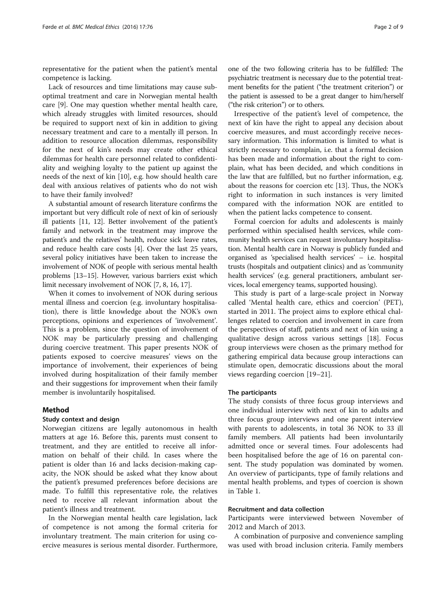representative for the patient when the patient's mental competence is lacking.

Lack of resources and time limitations may cause suboptimal treatment and care in Norwegian mental health care [\[9](#page-7-0)]. One may question whether mental health care, which already struggles with limited resources, should be required to support next of kin in addition to giving necessary treatment and care to a mentally ill person. In addition to resource allocation dilemmas, responsibility for the next of kin's needs may create other ethical dilemmas for health care personnel related to confidentiality and weighing loyalty to the patient up against the needs of the next of kin [\[10](#page-7-0)], e.g. how should health care deal with anxious relatives of patients who do not wish to have their family involved?

A substantial amount of research literature confirms the important but very difficult role of next of kin of seriously ill patients [\[11](#page-8-0), [12\]](#page-8-0). Better involvement of the patient's family and network in the treatment may improve the patient's and the relatives' health, reduce sick leave rates, and reduce health care costs [\[4](#page-7-0)]. Over the last 25 years, several policy initiatives have been taken to increase the involvement of NOK of people with serious mental health problems [\[13](#page-8-0)–[15](#page-8-0)]. However, various barriers exist which limit necessary involvement of NOK [\[7, 8](#page-7-0), [16, 17\]](#page-8-0).

When it comes to involvement of NOK during serious mental illness and coercion (e.g. involuntary hospitalisation), there is little knowledge about the NOK's own perceptions, opinions and experiences of 'involvement'. This is a problem, since the question of involvement of NOK may be particularly pressing and challenging during coercive treatment. This paper presents NOK of patients exposed to coercive measures' views on the importance of involvement, their experiences of being involved during hospitalization of their family member and their suggestions for improvement when their family member is involuntarily hospitalised.

## Method

## Study context and design

Norwegian citizens are legally autonomous in health matters at age 16. Before this, parents must consent to treatment, and they are entitled to receive all information on behalf of their child. In cases where the patient is older than 16 and lacks decision-making capacity, the NOK should be asked what they know about the patient's presumed preferences before decisions are made. To fulfill this representative role, the relatives need to receive all relevant information about the patient's illness and treatment.

In the Norwegian mental health care legislation, lack of competence is not among the formal criteria for involuntary treatment. The main criterion for using coercive measures is serious mental disorder. Furthermore, one of the two following criteria has to be fulfilled: The psychiatric treatment is necessary due to the potential treatment benefits for the patient ("the treatment criterion") or the patient is assessed to be a great danger to him/herself ("the risk criterion") or to others.

Irrespective of the patient's level of competence, the next of kin have the right to appeal any decision about coercive measures, and must accordingly receive necessary information. This information is limited to what is strictly necessary to complain, i.e. that a formal decision has been made and information about the right to complain, what has been decided, and which conditions in the law that are fulfilled, but no further information, e.g. about the reasons for coercion etc [\[13](#page-8-0)]. Thus, the NOK's right to information in such instances is very limited compared with the information NOK are entitled to when the patient lacks competence to consent.

Formal coercion for adults and adolescents is mainly performed within specialised health services, while community health services can request involuntary hospitalisation. Mental health care in Norway is publicly funded and organised as 'specialised health services' – i.e. hospital trusts (hospitals and outpatient clinics) and as 'community health services' (e.g. general practitioners, ambulant services, local emergency teams, supported housing).

This study is part of a large-scale project in Norway called 'Mental health care, ethics and coercion' (PET), started in 2011. The project aims to explore ethical challenges related to coercion and involvement in care from the perspectives of staff, patients and next of kin using a qualitative design across various settings [\[18](#page-8-0)]. Focus group interviews were chosen as the primary method for gathering empirical data because group interactions can stimulate open, democratic discussions about the moral views regarding coercion [[19](#page-8-0)–[21](#page-8-0)].

#### The participants

The study consists of three focus group interviews and one individual interview with next of kin to adults and three focus group interviews and one parent interview with parents to adolescents, in total 36 NOK to 33 ill family members. All patients had been involuntarily admitted once or several times. Four adolescents had been hospitalised before the age of 16 on parental consent. The study population was dominated by women. An overview of participants, type of family relations and mental health problems, and types of coercion is shown in Table [1.](#page-2-0)

# Recruitment and data collection

Participants were interviewed between November of 2012 and March of 2013.

A combination of purposive and convenience sampling was used with broad inclusion criteria. Family members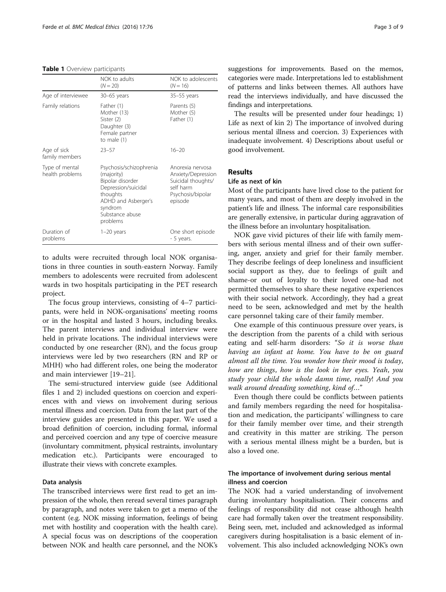#### <span id="page-2-0"></span>Table 1 Overview participants

|                                   | NOK to adults<br>$(N = 20)$                                                                                                                                   | NOK to adolescents<br>$(N = 16)$                                                                          |
|-----------------------------------|---------------------------------------------------------------------------------------------------------------------------------------------------------------|-----------------------------------------------------------------------------------------------------------|
| Age of interviewee                | $30-65$ years                                                                                                                                                 | $35-55$ years                                                                                             |
| Family relations                  | Father (1)<br>Mother (13)<br>Sister (2)<br>Daughter (3)<br>Female partner<br>to male (1)                                                                      | Parents (5)<br>Mother (5)<br>Father (1)                                                                   |
| Age of sick<br>family members     | $23 - 57$                                                                                                                                                     | $16 - 20$                                                                                                 |
| Type of mental<br>health problems | Psychosis/schizophrenia<br>(majority)<br>Bipolar disorder<br>Depression/suicidal<br>thoughts<br>ADHD and Asberger's<br>syndrom<br>Substance abuse<br>problems | Anorexia nervosa<br>Anxiety/Depression<br>Suicidal thoughts/<br>self harm<br>Psychosis/bipolar<br>episode |
| Duration of<br>problems           | $1-20$ years                                                                                                                                                  | One short episode<br>- 5 years.                                                                           |

to adults were recruited through local NOK organisations in three counties in south-eastern Norway. Family members to adolescents were recruited from adolescent wards in two hospitals participating in the PET research project.

The focus group interviews, consisting of 4–7 participants, were held in NOK-organisations' meeting rooms or in the hospital and lasted 3 hours, including breaks. The parent interviews and individual interview were held in private locations. The individual interviews were conducted by one researcher (RN), and the focus group interviews were led by two researchers (RN and RP or MHH) who had different roles, one being the moderator and main interviewer [\[19](#page-8-0)–[21\]](#page-8-0).

The semi-structured interview guide (see Additional files [1](#page-7-0) and [2](#page-7-0)) included questions on coercion and experiences with and views on involvement during serious mental illness and coercion. Data from the last part of the interview guides are presented in this paper. We used a broad definition of coercion, including formal, informal and perceived coercion and any type of coercive measure (involuntary commitment, physical restraints, involuntary medication etc.). Participants were encouraged to illustrate their views with concrete examples.

## Data analysis

The transcribed interviews were first read to get an impression of the whole, then reread several times paragraph by paragraph, and notes were taken to get a memo of the content (e.g. NOK missing information, feelings of being met with hostility and cooperation with the health care). A special focus was on descriptions of the cooperation between NOK and health care personnel, and the NOK's suggestions for improvements. Based on the memos, categories were made. Interpretations led to establishment of patterns and links between themes. All authors have read the interviews individually, and have discussed the findings and interpretations.

The results will be presented under four headings; 1) Life as next of kin 2) The importance of involved during serious mental illness and coercion. 3) Experiences with inadequate involvement. 4) Descriptions about useful or good involvement.

# Results

#### Life as next of kin

Most of the participants have lived close to the patient for many years, and most of them are deeply involved in the patient's life and illness. The informal care responsibilities are generally extensive, in particular during aggravation of the illness before an involuntary hospitalisation.

NOK gave vivid pictures of their life with family members with serious mental illness and of their own suffering, anger, anxiety and grief for their family member. They describe feelings of deep loneliness and insufficient social support as they, due to feelings of guilt and shame-or out of loyalty to their loved one-had not permitted themselves to share these negative experiences with their social network. Accordingly, they had a great need to be seen, acknowledged and met by the health care personnel taking care of their family member.

One example of this continuous pressure over years, is the description from the parents of a child with serious eating and self-harm disorders: "So it is worse than having an infant at home. You have to be on guard almost all the time. You wonder how their mood is today, how are things, how is the look in her eyes. Yeah, you study your child the whole damn time, really! And you walk around dreading something, kind of..."

Even though there could be conflicts between patients and family members regarding the need for hospitalisation and medication, the participants' willingness to care for their family member over time, and their strength and creativity in this matter are striking. The person with a serious mental illness might be a burden, but is also a loved one.

# The importance of involvement during serious mental illness and coercion

The NOK had a varied understanding of involvement during involuntary hospitalisation. Their concerns and feelings of responsibility did not cease although health care had formally taken over the treatment responsibility. Being seen, met, included and acknowledged as informal caregivers during hospitalisation is a basic element of involvement. This also included acknowledging NOK's own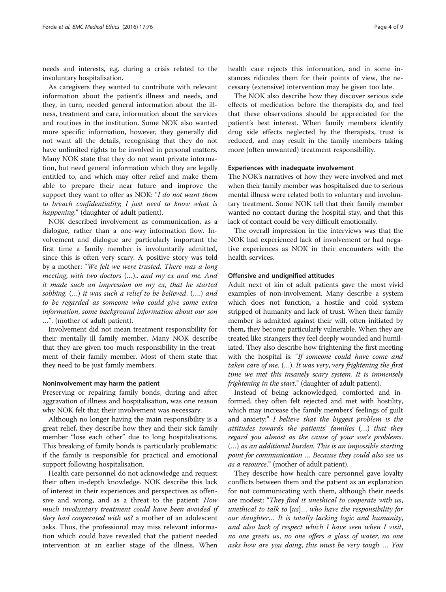needs and interests, e.g. during a crisis related to the involuntary hospitalisation.

As caregivers they wanted to contribute with relevant information about the patient's illness and needs, and they, in turn, needed general information about the illness, treatment and care, information about the services and routines in the institution. Some NOK also wanted more specific information, however, they generally did not want all the details, recognising that they do not have unlimited rights to be involved in personal matters. Many NOK state that they do not want private information, but need general information which they are legally entitled to, and which may offer relief and make them able to prepare their near future and improve the support they want to offer as NOK: "I do not want them to breach confidentiality; I just need to know what is happening." (daughter of adult patient).

NOK described involvement as communication, as a dialogue, rather than a one-way information flow. Involvement and dialogue are particularly important the first time a family member is involuntarily admitted, since this is often very scary. A positive story was told by a mother: "We felt we were trusted. There was a long meeting, with two doctors (…).. and my ex and me. And it made such an impression on my ex, that he started sobbing. (…) it was such a relief to be believed. (….) and to be regarded as someone who could give some extra information, some background information about our son …". (mother of adult patient).

Involvement did not mean treatment responsibility for their mentally ill family member. Many NOK describe that they are given too much responsibility in the treatment of their family member. Most of them state that they need to be just family members.

# Noninvolvement may harm the patient

Preserving or repairing family bonds, during and after aggravation of illness and hospitalisation, was one reason why NOK felt that their involvement was necessary.

Although no longer having the main responsibility is a great relief, they describe how they and their sick family member "lose each other" due to long hospitalisations. This breaking of family bonds is particularly problematic if the family is responsible for practical and emotional support following hospitalisation.

Health care personnel do not acknowledge and request their often in-depth knowledge. NOK describe this lack of interest in their experiences and perspectives as offensive and wrong, and as a threat to the patient: *How* much involuntary treatment could have been avoided if they had cooperated with us? a mother of an adolescent asks. Thus, the professional may miss relevant information which could have revealed that the patient needed intervention at an earlier stage of the illness. When

health care rejects this information, and in some instances ridicules them for their points of view, the necessary (extensive) intervention may be given too late.

The NOK also describe how they discover serious side effects of medication before the therapists do, and feel that these observations should be appreciated for the patient's best interest. When family members identify drug side effects neglected by the therapists, trust is reduced, and may result in the family members taking more (often unwanted) treatment responsibility.

## Experiences with inadequate involvement

The NOK's narratives of how they were involved and met when their family member was hospitalised due to serious mental illness were related both to voluntary and involuntary treatment. Some NOK tell that their family member wanted no contact during the hospital stay, and that this lack of contact could be very difficult emotionally.

The overall impression in the interviews was that the NOK had experienced lack of involvement or had negative experiences as NOK in their encounters with the health services.

## Offensive and undignified attitudes

Adult next of kin of adult patients gave the most vivid examples of non-involvement. Many describe a system which does not function, a hostile and cold system stripped of humanity and lack of trust. When their family member is admitted against their will, often initiated by them, they become particularly vulnerable. When they are treated like strangers they feel deeply wounded and humiliated. They also describe how frightening the first meeting with the hospital is: "If someone could have come and taken care of me. (…). It was very, very frightening the first time we met this insanely scary system. It is immensely frightening in the start." (daughter of adult patient).

Instead of being acknowledged, comforted and informed, they often felt rejected and met with hostility, which may increase the family members' feelings of guilt and anxiety:" I believe that the biggest problem is the attitudes towards the patients' families (…) that they regard you almost as the cause of your son's problems. (…) as an additional burden. This is an impossible starting point for communication … Because they could also see us as a resource." (mother of adult patient).

They describe how health care personnel gave loyalty conflicts between them and the patient as an explanation for not communicating with them, although their needs are modest: "They find it unethical to cooperate with us, unethical to talk to [us]… who have the responsibility for our daughter… It is totally lacking logic and humanity, and also lack of respect which I have seen when I visit, no one greets us, no one offers a glass of water, no one asks how are you doing, this must be very tough … You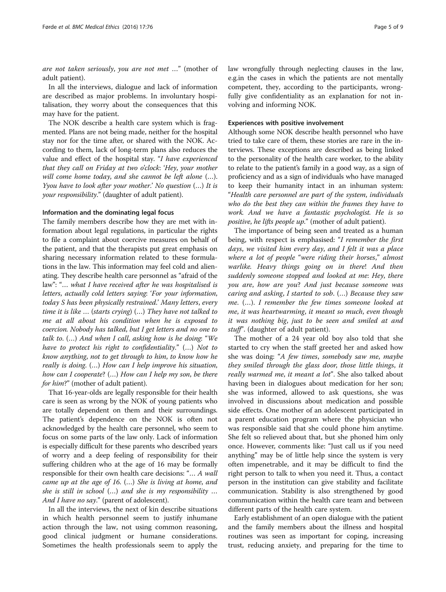are not taken seriously, you are not met …" (mother of adult patient).

In all the interviews, dialogue and lack of information are described as major problems. In involuntary hospitalisation, they worry about the consequences that this may have for the patient.

The NOK describe a health care system which is fragmented. Plans are not being made, neither for the hospital stay nor for the time after, or shared with the NOK. According to them, lack of long-term plans also reduces the value and effect of the hospital stay. "I have experienced that they call on Friday at two o'clock: 'Hey, your mother will come home today, and she cannot be left alone (…). Yyou have to look after your mother.' No question (…) It is your responsibility." (daughter of adult patient).

## Information and the dominating legal focus

The family members describe how they are met with information about legal regulations, in particular the rights to file a complaint about coercive measures on behalf of the patient, and that the therapists put great emphasis on sharing necessary information related to these formulations in the law. This information may feel cold and alienating. They describe health care personnel as "afraid of the law": "… what I have received after he was hospitalised is letters, actually cold letters saying: 'For your information, today S has been physically restrained.' Many letters, every time it is like … (starts crying) (…) They have not talked to me at all about his condition when he is exposed to coercion. Nobody has talked, but I get letters and no one to talk to. (…) And when I call, asking how is he doing: "We have to protect his right to confidentiality." (…) Not to know anything, not to get through to him, to know how he really is doing. (…) How can I help improve his situation, how can I cooperate? (...) How can I help my son, be there for him?" (mother of adult patient).

That 16-year-olds are legally responsible for their health care is seen as wrong by the NOK of young patients who are totally dependent on them and their surroundings. The patient's dependence on the NOK is often not acknowledged by the health care personnel, who seem to focus on some parts of the law only. Lack of information is especially difficult for these parents who described years of worry and a deep feeling of responsibility for their suffering children who at the age of 16 may be formally responsible for their own health care decisions: "… A wall came up at the age of 16. (…) She is living at home, and she is still in school (…) and she is my responsibility … And I have no say." (parent of adolescent).

In all the interviews, the next of kin describe situations in which health personnel seem to justify inhumane action through the law, not using common reasoning, good clinical judgment or humane considerations. Sometimes the health professionals seem to apply the law wrongfully through neglecting clauses in the law, e.g.in the cases in which the patients are not mentally competent, they, according to the participants, wrongfully give confidentiality as an explanation for not involving and informing NOK.

# Experiences with positive involvement

Although some NOK describe health personnel who have tried to take care of them, these stories are rare in the interviews. These exceptions are described as being linked to the personality of the health care worker, to the ability to relate to the patient's family in a good way, as a sign of proficiency and as a sign of individuals who have managed to keep their humanity intact in an inhuman system: "Health care personnel are part of the system, individuals who do the best they can within the frames they have to work. And we have a fantastic psychologist. He is so positive, he lifts people up." (mother of adult patient).

The importance of being seen and treated as a human being, with respect is emphasised: "I remember the first days, we visited him every day, and I felt it was a place where a lot of people "were riding their horses," almost warlike. Heavy things going on in there! And then suddenly someone stopped and looked at me: Hey, there you are, how are you? And just because someone was caring and asking, I started to sob. (…) Because they saw me. (…). I remember the few times someone looked at me, it was heartwarming, it meant so much, even though it was nothing big, just to be seen and smiled at and stuff". (daughter of adult patient).

The mother of a 24 year old boy also told that she started to cry when the staff greeted her and asked how she was doing: "A few times, somebody saw me, maybe they smiled through the glass door, those little things, it really warmed me, it meant a lot". She also talked about having been in dialogues about medication for her son; she was informed, allowed to ask questions, she was involved in discussions about medication and possible side effects. One mother of an adolescent participated in a parent education program where the physician who was responsible said that she could phone him anytime. She felt so relieved about that, but she phoned him only once. However, comments like: "Just call us if you need anything" may be of little help since the system is very often impenetrable, and it may be difficult to find the right person to talk to when you need it. Thus, a contact person in the institution can give stability and facilitate communication. Stability is also strengthened by good communication within the health care team and between different parts of the health care system.

Early establishment of an open dialogue with the patient and the family members about the illness and hospital routines was seen as important for coping, increasing trust, reducing anxiety, and preparing for the time to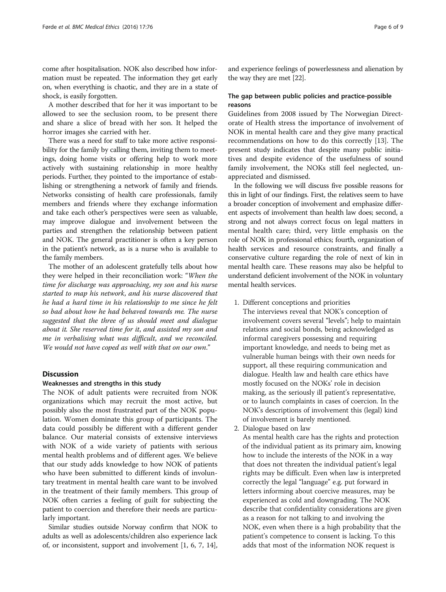come after hospitalisation. NOK also described how information must be repeated. The information they get early on, when everything is chaotic, and they are in a state of shock, is easily forgotten.

A mother described that for her it was important to be allowed to see the seclusion room, to be present there and share a slice of bread with her son. It helped the horror images she carried with her.

There was a need for staff to take more active responsibility for the family by calling them, inviting them to meetings, doing home visits or offering help to work more actively with sustaining relationship in more healthy periods. Further, they pointed to the importance of establishing or strengthening a network of family and friends. Networks consisting of health care professionals, family members and friends where they exchange information and take each other's perspectives were seen as valuable, may improve dialogue and involvement between the parties and strengthen the relationship between patient and NOK. The general practitioner is often a key person in the patient's network, as is a nurse who is available to the family members.

The mother of an adolescent gratefully tells about how they were helped in their reconciliation work: "When the time for discharge was approaching, my son and his nurse started to map his network, and his nurse discovered that he had a hard time in his relationship to me since he felt so bad about how he had behaved towards me. The nurse suggested that the three of us should meet and dialogue about it. She reserved time for it, and assisted my son and me in verbalising what was difficult, and we reconciled. We would not have coped as well with that on our own."

# **Discussion**

# Weaknesses and strengths in this study

The NOK of adult patients were recruited from NOK organizations which may recruit the most active, but possibly also the most frustrated part of the NOK population. Women dominate this group of participants. The data could possibly be different with a different gender balance. Our material consists of extensive interviews with NOK of a wide variety of patients with serious mental health problems and of different ages. We believe that our study adds knowledge to how NOK of patients who have been submitted to different kinds of involuntary treatment in mental health care want to be involved in the treatment of their family members. This group of NOK often carries a feeling of guilt for subjecting the patient to coercion and therefore their needs are particularly important.

Similar studies outside Norway confirm that NOK to adults as well as adolescents/children also experience lack of, or inconsistent, support and involvement [\[1](#page-7-0), [6, 7](#page-7-0), [14](#page-8-0)], and experience feelings of powerlessness and alienation by the way they are met [[22](#page-8-0)].

# The gap between public policies and practice-possible reasons

Guidelines from 2008 issued by The Norwegian Directorate of Health stress the importance of involvement of NOK in mental health care and they give many practical recommendations on how to do this correctly [[13\]](#page-8-0). The present study indicates that despite many public initiatives and despite evidence of the usefulness of sound family involvement, the NOKs still feel neglected, unappreciated and dismissed.

In the following we will discuss five possible reasons for this in light of our findings. First, the relatives seem to have a broader conception of involvement and emphasize different aspects of involvement than health law does; second, a strong and not always correct focus on legal matters in mental health care; third, very little emphasis on the role of NOK in professional ethics; fourth, organization of health services and resource constraints, and finally a conservative culture regarding the role of next of kin in mental health care. These reasons may also be helpful to understand deficient involvement of the NOK in voluntary mental health services.

1. Different conceptions and priorities

The interviews reveal that NOK's conception of involvement covers several "levels"; help to maintain relations and social bonds, being acknowledged as informal caregivers possessing and requiring important knowledge, and needs to being met as vulnerable human beings with their own needs for support, all these requiring communication and dialogue. Health law and health care ethics have mostly focused on the NOKs' role in decision making, as the seriously ill patient's representative, or to launch complaints in cases of coercion. In the NOK's descriptions of involvement this (legal) kind of involvement is barely mentioned.

2. Dialogue based on law

As mental health care has the rights and protection of the individual patient as its primary aim, knowing how to include the interests of the NOK in a way that does not threaten the individual patient's legal rights may be difficult. Even when law is interpreted correctly the legal "language" e.g. put forward in letters informing about coercive measures, may be experienced as cold and downgrading. The NOK describe that confidentiality considerations are given as a reason for not talking to and involving the NOK, even when there is a high probability that the patient's competence to consent is lacking. To this adds that most of the information NOK request is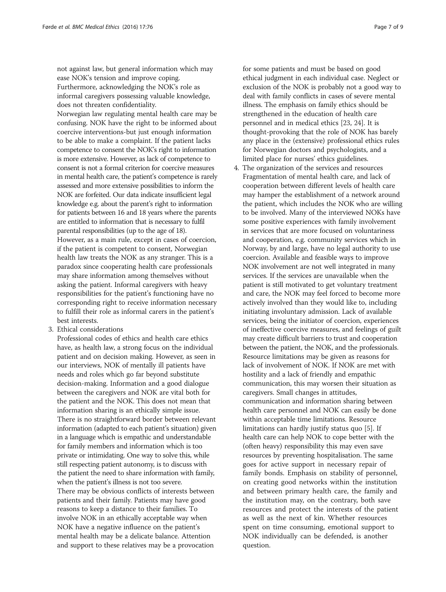not against law, but general information which may ease NOK's tension and improve coping. Furthermore, acknowledging the NOK's role as informal caregivers possessing valuable knowledge, does not threaten confidentiality.

Norwegian law regulating mental health care may be confusing. NOK have the right to be informed about coercive interventions-but just enough information to be able to make a complaint. If the patient lacks competence to consent the NOK's right to information is more extensive. However, as lack of competence to consent is not a formal criterion for coercive measures in mental health care, the patient's competence is rarely assessed and more extensive possibilities to inform the NOK are forfeited. Our data indicate insufficient legal knowledge e.g. about the parent's right to information for patients between 16 and 18 years where the parents are entitled to information that is necessary to fulfil parental responsibilities (up to the age of 18). However, as a main rule, except in cases of coercion, if the patient is competent to consent, Norwegian health law treats the NOK as any stranger. This is a paradox since cooperating health care professionals may share information among themselves without asking the patient. Informal caregivers with heavy responsibilities for the patient's functioning have no corresponding right to receive information necessary to fulfill their role as informal carers in the patient's best interests.

3. Ethical considerations

Professional codes of ethics and health care ethics have, as health law, a strong focus on the individual patient and on decision making. However, as seen in our interviews, NOK of mentally ill patients have needs and roles which go far beyond substitute decision-making. Information and a good dialogue between the caregivers and NOK are vital both for the patient and the NOK. This does not mean that information sharing is an ethically simple issue. There is no straightforward border between relevant information (adapted to each patient's situation) given in a language which is empathic and understandable for family members and information which is too private or intimidating. One way to solve this, while still respecting patient autonomy, is to discuss with the patient the need to share information with family, when the patient's illness is not too severe. There may be obvious conflicts of interests between patients and their family. Patients may have good reasons to keep a distance to their families. To involve NOK in an ethically acceptable way when NOK have a negative influence on the patient's mental health may be a delicate balance. Attention and support to these relatives may be a provocation

for some patients and must be based on good ethical judgment in each individual case. Neglect or exclusion of the NOK is probably not a good way to deal with family conflicts in cases of severe mental illness. The emphasis on family ethics should be strengthened in the education of health care personnel and in medical ethics [\[23,](#page-8-0) [24\]](#page-8-0). It is thought-provoking that the role of NOK has barely any place in the (extensive) professional ethics rules for Norwegian doctors and psychologists, and a limited place for nurses' ethics guidelines.

4. The organization of the services and resources Fragmentation of mental health care, and lack of cooperation between different levels of health care may hamper the establishment of a network around the patient, which includes the NOK who are willing to be involved. Many of the interviewed NOKs have some positive experiences with family involvement in services that are more focused on voluntariness and cooperation, e.g. community services which in Norway, by and large, have no legal authority to use coercion. Available and feasible ways to improve NOK involvement are not well integrated in many services. If the services are unavailable when the patient is still motivated to get voluntary treatment and care, the NOK may feel forced to become more actively involved than they would like to, including initiating involuntary admission. Lack of available services, being the initiator of coercion, experiences of ineffective coercive measures, and feelings of guilt may create difficult barriers to trust and cooperation between the patient, the NOK, and the professionals. Resource limitations may be given as reasons for lack of involvement of NOK. If NOK are met with hostility and a lack of friendly and empathic communication, this may worsen their situation as caregivers. Small changes in attitudes, communication and information sharing between health care personnel and NOK can easily be done within acceptable time limitations. Resource limitations can hardly justify status quo [[5\]](#page-7-0). If health care can help NOK to cope better with the (often heavy) responsibility this may even save resources by preventing hospitalisation. The same goes for active support in necessary repair of family bonds. Emphasis on stability of personnel, on creating good networks within the institution and between primary health care, the family and the institution may, on the contrary, both save resources and protect the interests of the patient as well as the next of kin. Whether resources spent on time consuming, emotional support to NOK individually can be defended, is another question.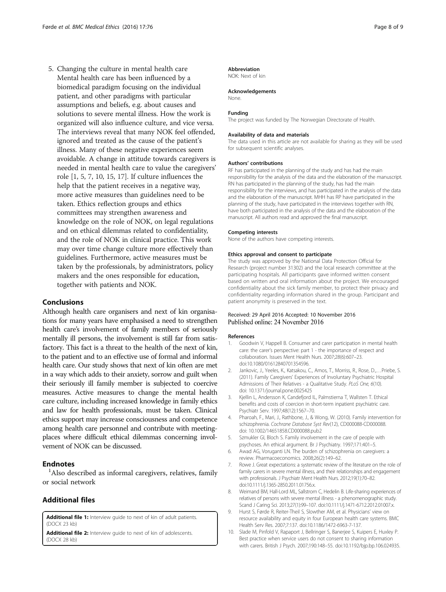<span id="page-7-0"></span>5. Changing the culture in mental health care Mental health care has been influenced by a biomedical paradigm focusing on the individual patient, and other paradigms with particular assumptions and beliefs, e.g. about causes and solutions to severe mental illness. How the work is organized will also influence culture, and vice versa. The interviews reveal that many NOK feel offended, ignored and treated as the cause of the patient's illness. Many of these negative experiences seem avoidable. A change in attitude towards caregivers is needed in mental health care to value the caregivers' role [1, 5, 7, 10, [15,](#page-8-0) [17\]](#page-8-0). If culture influences the help that the patient receives in a negative way, more active measures than guidelines need to be taken. Ethics reflection groups and ethics committees may strengthen awareness and knowledge on the role of NOK, on legal regulations and on ethical dilemmas related to confidentiality, and the role of NOK in clinical practice. This work may over time change culture more effectively than guidelines. Furthermore, active measures must be taken by the professionals, by administrators, policy makers and the ones responsible for education, together with patients and NOK.

# Conclusions

Although health care organisers and next of kin organisations for many years have emphasised a need to strengthen health care's involvement of family members of seriously mentally ill persons, the involvement is still far from satisfactory. This fact is a threat to the health of the next of kin, to the patient and to an effective use of formal and informal health care. Our study shows that next of kin often are met in a way which adds to their anxiety, sorrow and guilt when their seriously ill family member is subjected to coercive measures. Active measures to change the mental health care culture, including increased knowledge in family ethics and law for health professionals, must be taken. Clinical ethics support may increase consciousness and competence among health care personnel and contribute with meetingplaces where difficult ethical dilemmas concerning involvement of NOK can be discussed.

# **Endnotes**

<sup>1</sup>Also described as informal caregivers, relatives, family or social network

# Additional files

[Additional file 1:](dx.doi.org/10.1186/s12910-016-0159-4) Interview quide to next of kin of adult patients. (DOCX 23 kb)

[Additional file 2:](dx.doi.org/10.1186/s12910-016-0159-4) Interview quide to next of kin of adolescents. (DOCX 28 kb)

#### Abbreviation NOK: Next of kin

Acknowledgements

### None.

#### Funding

The project was funded by The Norwegian Directorate of Health.

#### Availability of data and materials

The data used in this article are not available for sharing as they will be used for subsequent scientific analyses.

# Authors' contributions

RF has participated in the planning of the study and has had the main responsibility for the analysis of the data and the elaboration of the manuscript. RN has participated in the planning of the study, has had the main responsibility for the interviews, and has participated in the analysis of the data and the elaboration of the manuscript. MHH has RP have participated in the planning of the study, have participated in the interviews together with RN, have both participated in the analysis of the data and the elaboration of the manuscript. All authors read and approved the final manuscript.

#### Competing interests

None of the authors have competing interests.

#### Ethics approval and consent to participate

The study was approved by the National Data Protection Official for Research (project number 31302) and the local research committee at the participating hospitals. All participants gave informed written consent based on written and oral information about the project. We encouraged confidentiality about the sick family member, to protect their privacy and confidentiality regarding information shared in the group. Participant and patient anonymity is preserved in the text.

### Received: 29 April 2016 Accepted: 10 November 2016 Published online: 24 November 2016

#### References

- 1. Goodwin V, Happell B. Consumer and carer participation in mental health care: the carer's perspective: part 1 - the importance of respect and collaboration. Issues Ment Health Nurs. 2007;28(6):607–23. doi[:10.1080/01612840701354596](http://dx.doi.org/10.1080/01612840701354596).
- 2. Jankovic, J., Yeeles, K., Katsakou, C., Amos, T., Morriss, R., Rose, D.,...Priebe, S. (2011). Family Caregivers' Experiences of Involuntary Psychiatric Hospital Admissions of Their Relatives - a Qualitative Study. PLoS One, 6(10). doi: [10.1371/journal.pone.0025425](http://dx.doi.org/10.1371/journal.pone.0025425)
- 3. Kjellin L, Andersson K, Candefjord IL, Palmstierna T, Wallsten T. Ethical benefits and costs of coercion in short-term inpatient psychiatric care. Psychiatr Serv. 1997;48(12):1567–70.
- 4. Pharoah, F., Mari, J., Rathbone, J., & Wong, W. (2010). Family intervention for schizophrenia. Cochrane Database Syst Rev(12), CD000088-CD000088. doi: [10.1002/14651858.CD000088.pub2](http://dx.doi.org/10.1002/14651858.CD000088.pub2)
- 5. Szmukler GI, Bloch S. Family involvement in the care of people with psychoses. An ethical argument. Br J Psychiatry. 1997;171:401–5.
- 6. Awad AG, Voruganti LN. The burden of schizophrenia on caregivers: a review. Pharmacoeconomics. 2008;26(2):149–62.
- 7. Rowe J. Great expectations: a systematic review of the literature on the role of family carers in severe mental illness, and their relationships and engagement with professionals. J Psychiatr Ment Health Nurs. 2012;19(1):70–82. doi:[10.1111/j.1365-2850.2011.01756.x](http://dx.doi.org/10.1111/j.1365-2850.2011.01756.x).
- 8. Weimand BM, Hall-Lord ML, Sallstrom C, Hedelin B. Life-sharing experiences of relatives of persons with severe mental illness - a phenomenographic study. Scand J Caring Sci. 2013;27(1):99–107. doi[:10.1111/j.1471-6712.2012.01007.x.](http://dx.doi.org/10.1111/j.1471-6712.2012.01007.x)
- 9. Hurst S, Førde R, Reiter-Theil S, Slowther AM, et al. Physicians' view on resource availability and equity in four European health care systems. BMC Health Serv Res. 2007;7:137. doi:[10.1186/1472-6963-7-137.](http://dx.doi.org/10.1186/1472-6963-7-137)
- 10. Slade M, Pinfold V, Rapaport J, Bellringer S, Banerjee S, Kuipers E, Huxley P. Best practice when service users do not consent to sharing information with carers. British J Psych. 2007;190:148–55. doi[:10.1192/bjp.bp.106.024935](http://dx.doi.org/10.1192/bjp.bp.106.024935).